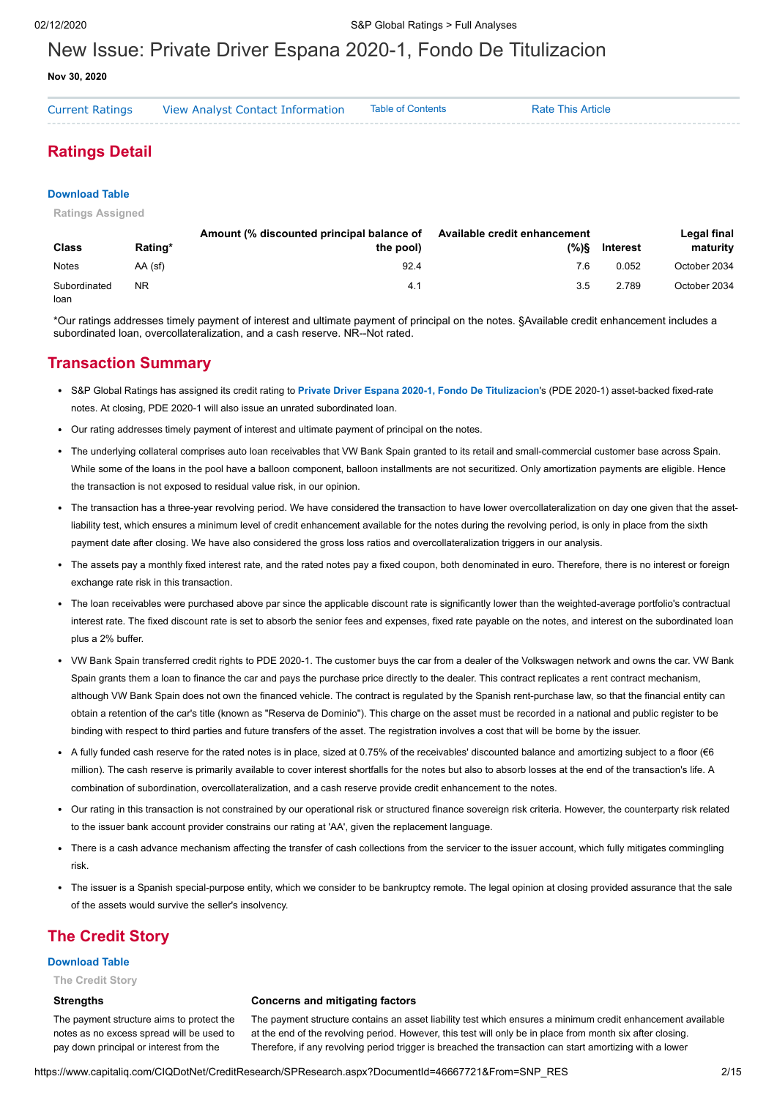# New Issue: Private Driver Espana 2020-1, Fondo De Titulizacion

#### **Nov 30, 2020**

| <b>Table of Contents</b><br><b>Rate This Article</b><br><b>View Analyst Contact Information</b><br><b>Current Ratings</b> |  |  |  |  |  |
|---------------------------------------------------------------------------------------------------------------------------|--|--|--|--|--|
|---------------------------------------------------------------------------------------------------------------------------|--|--|--|--|--|

# **Ratings Detail**

#### **[Download Table](https://www.capitaliq.com/CIQDotNet/CreditResearch/ExportContent.aspx?componentId=12121555&language=EN)**

**Ratings Assigned**

|                      |         | Amount (% discounted principal balance of | Available credit enhancement |                 | Legal final  |
|----------------------|---------|-------------------------------------------|------------------------------|-----------------|--------------|
| <b>Class</b>         | Rating* | the pool)                                 | (%)§                         | <b>Interest</b> | maturity     |
| <b>Notes</b>         | AA (sf) | 92.4                                      | 7.6                          | 0.052           | October 2034 |
| Subordinated<br>loan | ΝR      | 4.1                                       | 3.5                          | 2.789           | October 2034 |

\*Our ratings addresses timely payment of interest and ultimate payment of principal on the notes. §Available credit enhancement includes a subordinated loan, overcollateralization, and a cash reserve. NR--Not rated.

## **Transaction Summary**

- S&P Global Ratings has assigned its credit rating to **[Private Driver Espana 2020-1, Fondo De Titulizacion](https://www.capitaliq.com/CIQDotNet/RatingsDirect/GCPTearsheet.aspx?CompanyId=693271138)**'s (PDE 2020-1) asset-backed fixed-rate notes. At closing, PDE 2020-1 will also issue an unrated subordinated loan.
- Our rating addresses timely payment of interest and ultimate payment of principal on the notes.
- The underlying collateral comprises auto loan receivables that VW Bank Spain granted to its retail and small-commercial customer base across Spain. While some of the loans in the pool have a balloon component, balloon installments are not securitized. Only amortization payments are eligible. Hence the transaction is not exposed to residual value risk, in our opinion.
- The transaction has a three-year revolving period. We have considered the transaction to have lower overcollateralization on day one given that the assetliability test, which ensures a minimum level of credit enhancement available for the notes during the revolving period, is only in place from the sixth payment date after closing. We have also considered the gross loss ratios and overcollateralization triggers in our analysis.
- The assets pay a monthly fixed interest rate, and the rated notes pay a fixed coupon, both denominated in euro. Therefore, there is no interest or foreign exchange rate risk in this transaction.
- The loan receivables were purchased above par since the applicable discount rate is significantly lower than the weighted-average portfolio's contractual interest rate. The fixed discount rate is set to absorb the senior fees and expenses, fixed rate payable on the notes, and interest on the subordinated loan plus a 2% buffer.
- VW Bank Spain transferred credit rights to PDE 2020-1. The customer buys the car from a dealer of the Volkswagen network and owns the car. VW Bank Spain grants them a loan to finance the car and pays the purchase price directly to the dealer. This contract replicates a rent contract mechanism, although VW Bank Spain does not own the financed vehicle. The contract is regulated by the Spanish rent-purchase law, so that the financial entity can obtain a retention of the car's title (known as "Reserva de Dominio"). This charge on the asset must be recorded in a national and public register to be binding with respect to third parties and future transfers of the asset. The registration involves a cost that will be borne by the issuer.
- $\bullet$  A fully funded cash reserve for the rated notes is in place, sized at 0.75% of the receivables' discounted balance and amortizing subject to a floor ( $\epsilon$ 6 million). The cash reserve is primarily available to cover interest shortfalls for the notes but also to absorb losses at the end of the transaction's life. A combination of subordination, overcollateralization, and a cash reserve provide credit enhancement to the notes.
- Our rating in this transaction is not constrained by our operational risk or structured finance sovereign risk criteria. However, the counterparty risk related to the issuer bank account provider constrains our rating at 'AA', given the replacement language.
- There is a cash advance mechanism affecting the transfer of cash collections from the servicer to the issuer account, which fully mitigates commingling risk.
- The issuer is a Spanish special-purpose entity, which we consider to be bankruptcy remote. The legal opinion at closing provided assurance that the sale of the assets would survive the seller's insolvency.

# **The Credit Story**

#### **[Download Table](https://www.capitaliq.com/CIQDotNet/CreditResearch/ExportContent.aspx?componentId=12121636&language=EN)**

**The Credit Story**

The payment structure aims to protect the notes as no excess spread will be used to pay down principal or interest from the

#### **Strengths Concerns and mitigating factors**

The payment structure contains an asset liability test which ensures a minimum credit enhancement available at the end of the revolving period. However, this test will only be in place from month six after closing. Therefore, if any revolving period trigger is breached the transaction can start amortizing with a lower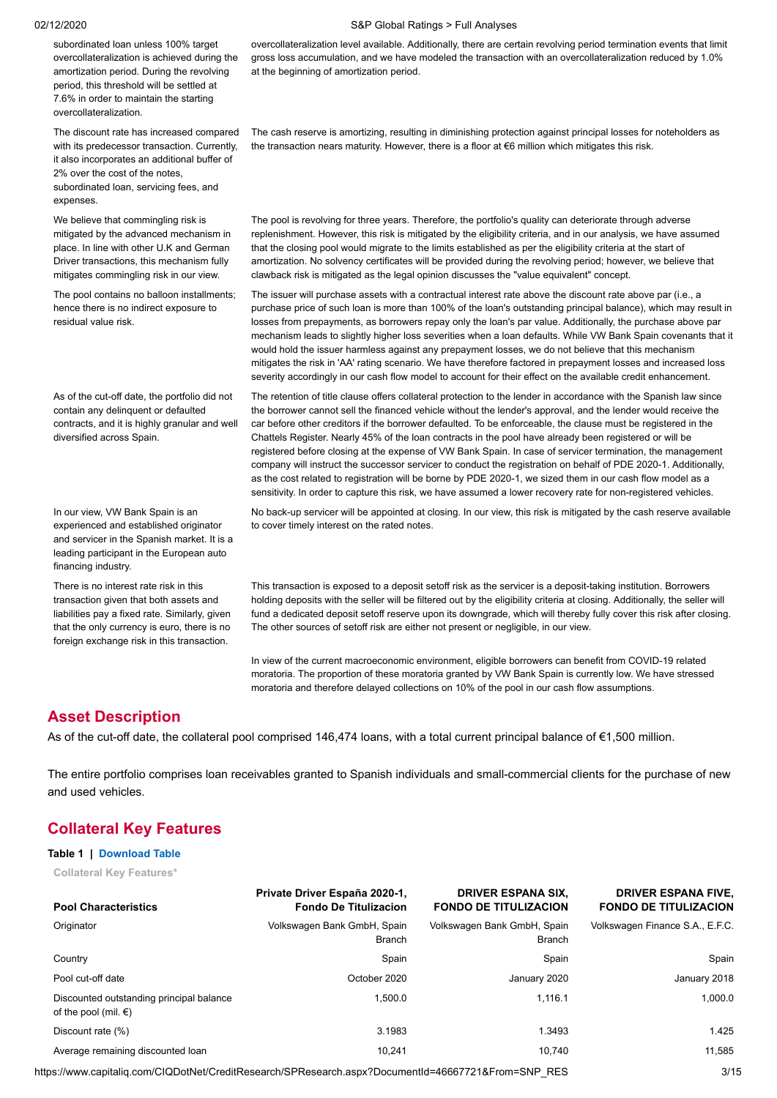subordinated loan unless 100% target overcollateralization is achieved during the amortization period. During the revolving period, this threshold will be settled at 7.6% in order to maintain the starting overcollateralization.

The discount rate has increased compared with its predecessor transaction. Currently, it also incorporates an additional buffer of 2% over the cost of the notes, subordinated loan, servicing fees, and expenses.

We believe that commingling risk is mitigated by the advanced mechanism in place. In line with other U.K and German Driver transactions, this mechanism fully mitigates commingling risk in our view.

The pool contains no balloon installments; hence there is no indirect exposure to residual value risk.

As of the cut-off date, the portfolio did not contain any delinquent or defaulted contracts, and it is highly granular and well diversified across Spain.

In our view, VW Bank Spain is an experienced and established originator and servicer in the Spanish market. It is a leading participant in the European auto financing industry.

There is no interest rate risk in this transaction given that both assets and liabilities pay a fixed rate. Similarly, given that the only currency is euro, there is no foreign exchange risk in this transaction.

#### 02/12/2020 S&P Global Ratings > Full Analyses

overcollateralization level available. Additionally, there are certain revolving period termination events that limit gross loss accumulation, and we have modeled the transaction with an overcollateralization reduced by 1.0% at the beginning of amortization period.

The cash reserve is amortizing, resulting in diminishing protection against principal losses for noteholders as the transaction nears maturity. However, there is a floor at €6 million which mitigates this risk.

The pool is revolving for three years. Therefore, the portfolio's quality can deteriorate through adverse replenishment. However, this risk is mitigated by the eligibility criteria, and in our analysis, we have assumed that the closing pool would migrate to the limits established as per the eligibility criteria at the start of amortization. No solvency certificates will be provided during the revolving period; however, we believe that clawback risk is mitigated as the legal opinion discusses the "value equivalent" concept.

The issuer will purchase assets with a contractual interest rate above the discount rate above par (i.e., a purchase price of such loan is more than 100% of the loan's outstanding principal balance), which may result in losses from prepayments, as borrowers repay only the loan's par value. Additionally, the purchase above par mechanism leads to slightly higher loss severities when a loan defaults. While VW Bank Spain covenants that it would hold the issuer harmless against any prepayment losses, we do not believe that this mechanism mitigates the risk in 'AA' rating scenario. We have therefore factored in prepayment losses and increased loss severity accordingly in our cash flow model to account for their effect on the available credit enhancement.

The retention of title clause offers collateral protection to the lender in accordance with the Spanish law since the borrower cannot sell the financed vehicle without the lender's approval, and the lender would receive the car before other creditors if the borrower defaulted. To be enforceable, the clause must be registered in the Chattels Register. Nearly 45% of the loan contracts in the pool have already been registered or will be registered before closing at the expense of VW Bank Spain. In case of servicer termination, the management company will instruct the successor servicer to conduct the registration on behalf of PDE 2020-1. Additionally, as the cost related to registration will be borne by PDE 2020-1, we sized them in our cash flow model as a sensitivity. In order to capture this risk, we have assumed a lower recovery rate for non-registered vehicles.

No back-up servicer will be appointed at closing. In our view, this risk is mitigated by the cash reserve available to cover timely interest on the rated notes.

This transaction is exposed to a deposit setoff risk as the servicer is a deposit-taking institution. Borrowers holding deposits with the seller will be filtered out by the eligibility criteria at closing. Additionally, the seller will fund a dedicated deposit setoff reserve upon its downgrade, which will thereby fully cover this risk after closing. The other sources of setoff risk are either not present or negligible, in our view.

In view of the current macroeconomic environment, eligible borrowers can benefit from COVID-19 related moratoria. The proportion of these moratoria granted by VW Bank Spain is currently low. We have stressed moratoria and therefore delayed collections on 10% of the pool in our cash flow assumptions.

## **Asset Description**

As of the cut-off date, the collateral pool comprised 146,474 loans, with a total current principal balance of €1,500 million.

The entire portfolio comprises loan receivables granted to Spanish individuals and small-commercial clients for the purchase of new and used vehicles.

# **Collateral Key Features**

#### **Table 1 | [Download Table](https://www.capitaliq.com/CIQDotNet/CreditResearch/ExportContent.aspx?componentId=12121637&language=EN)**

**Collateral Key Features\***

| <b>Pool Characteristics</b>                                                                         | Private Driver España 2020-1,<br><b>Fondo De Titulizacion</b> | DRIVER ESPANA SIX.<br><b>FONDO DE TITULIZACION</b> | <b>DRIVER ESPANA FIVE.</b><br><b>FONDO DE TITULIZACION</b> |
|-----------------------------------------------------------------------------------------------------|---------------------------------------------------------------|----------------------------------------------------|------------------------------------------------------------|
| Originator                                                                                          | Volkswagen Bank GmbH, Spain<br><b>Branch</b>                  | Volkswagen Bank GmbH, Spain<br><b>Branch</b>       | Volkswagen Finance S.A., E.F.C.                            |
| Country                                                                                             | Spain                                                         | Spain                                              | Spain                                                      |
| Pool cut-off date                                                                                   | October 2020                                                  | January 2020                                       | January 2018                                               |
| Discounted outstanding principal balance<br>of the pool (mil. $\epsilon$ )                          | 1.500.0                                                       | 1.116.1                                            | 1,000.0                                                    |
| Discount rate (%)                                                                                   | 3.1983                                                        | 1.3493                                             | 1.425                                                      |
| Average remaining discounted loan                                                                   | 10.241                                                        | 10.740                                             | 11.585                                                     |
| https://www.capitalig.com/CIQDotNet/CreditResearch/SPResearch.aspx?DocumentId=46667721&From=SNP_RES | 3/15                                                          |                                                    |                                                            |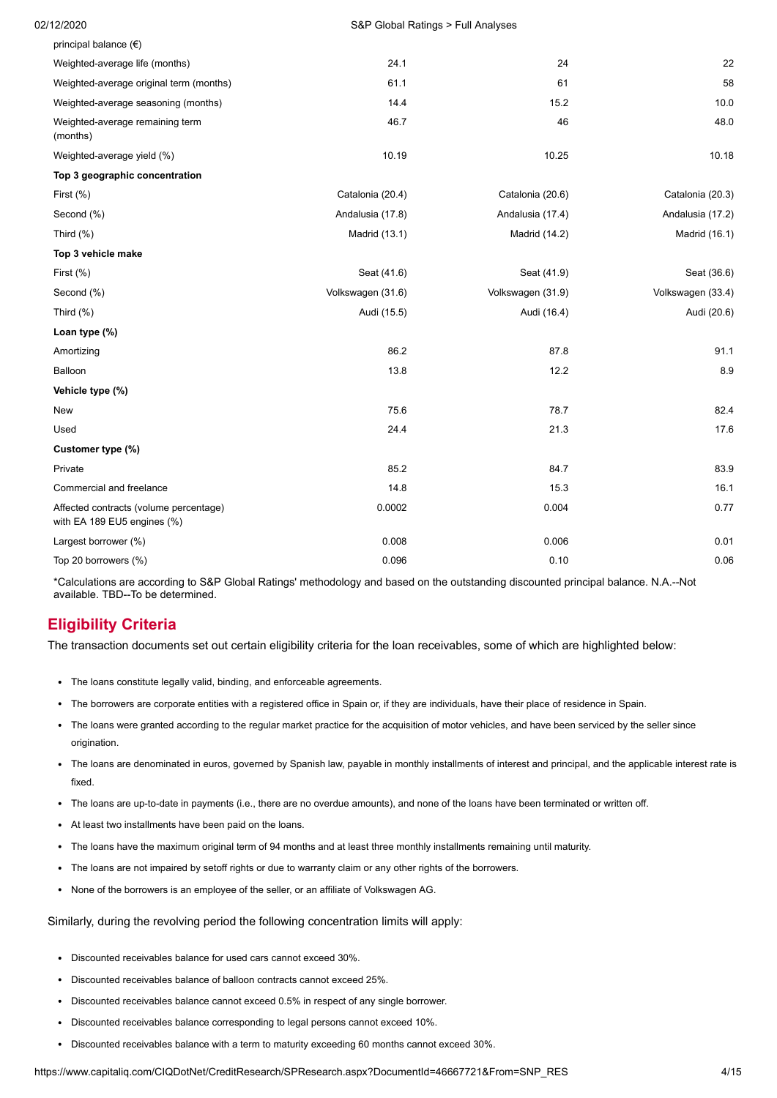| 02/12/2020                                                            | S&P Global Ratings > Full Analyses |                   |                   |
|-----------------------------------------------------------------------|------------------------------------|-------------------|-------------------|
| principal balance $(\epsilon)$                                        |                                    |                   |                   |
| Weighted-average life (months)                                        | 24.1                               | 24                | 22                |
| Weighted-average original term (months)                               | 61.1                               | 61                | 58                |
| Weighted-average seasoning (months)                                   | 14.4                               | 15.2              | 10.0              |
| Weighted-average remaining term<br>(months)                           | 46.7                               | 46                | 48.0              |
| Weighted-average yield (%)                                            | 10.19                              | 10.25             | 10.18             |
| Top 3 geographic concentration                                        |                                    |                   |                   |
| First (%)                                                             | Catalonia (20.4)                   | Catalonia (20.6)  | Catalonia (20.3)  |
| Second (%)                                                            | Andalusia (17.8)                   | Andalusia (17.4)  | Andalusia (17.2)  |
| Third (%)                                                             | Madrid (13.1)                      | Madrid (14.2)     | Madrid (16.1)     |
| Top 3 vehicle make                                                    |                                    |                   |                   |
| First $(\%)$                                                          | Seat (41.6)                        | Seat (41.9)       | Seat (36.6)       |
| Second (%)                                                            | Volkswagen (31.6)                  | Volkswagen (31.9) | Volkswagen (33.4) |
| Third $(\%)$                                                          | Audi (15.5)                        | Audi (16.4)       | Audi (20.6)       |
| Loan type (%)                                                         |                                    |                   |                   |
| Amortizing                                                            | 86.2                               | 87.8              | 91.1              |
| Balloon                                                               | 13.8                               | 12.2              | 8.9               |
| Vehicle type (%)                                                      |                                    |                   |                   |
| New                                                                   | 75.6                               | 78.7              | 82.4              |
| Used                                                                  | 24.4                               | 21.3              | 17.6              |
| Customer type (%)                                                     |                                    |                   |                   |
| Private                                                               | 85.2                               | 84.7              | 83.9              |
| Commercial and freelance                                              | 14.8                               | 15.3              | 16.1              |
| Affected contracts (volume percentage)<br>with EA 189 EU5 engines (%) | 0.0002                             | 0.004             | 0.77              |
| Largest borrower (%)                                                  | 0.008                              | 0.006             | 0.01              |
| Top 20 borrowers (%)                                                  | 0.096                              | 0.10              | 0.06              |
|                                                                       |                                    |                   |                   |

\*Calculations are according to S&P Global Ratings' methodology and based on the outstanding discounted principal balance. N.A.--Not available. TBD--To be determined.

# **Eligibility Criteria**

The transaction documents set out certain eligibility criteria for the loan receivables, some of which are highlighted below:

- The loans constitute legally valid, binding, and enforceable agreements.
- $\bullet$ The borrowers are corporate entities with a registered office in Spain or, if they are individuals, have their place of residence in Spain.
- The loans were granted according to the regular market practice for the acquisition of motor vehicles, and have been serviced by the seller since origination.
- The loans are denominated in euros, governed by Spanish law, payable in monthly installments of interest and principal, and the applicable interest rate is fixed.
- The loans are up-to-date in payments (i.e., there are no overdue amounts), and none of the loans have been terminated or written off.  $\ddot{\phantom{0}}$
- At least two installments have been paid on the loans.  $\ddot{\phantom{a}}$
- The loans have the maximum original term of 94 months and at least three monthly installments remaining until maturity.
- The loans are not impaired by setoff rights or due to warranty claim or any other rights of the borrowers.
- None of the borrowers is an employee of the seller, or an affiliate of Volkswagen AG.

Similarly, during the revolving period the following concentration limits will apply:

- Discounted receivables balance for used cars cannot exceed 30%.
- Discounted receivables balance of balloon contracts cannot exceed 25%.
- Discounted receivables balance cannot exceed 0.5% in respect of any single borrower.
- $\bullet$ Discounted receivables balance corresponding to legal persons cannot exceed 10%.
- Discounted receivables balance with a term to maturity exceeding 60 months cannot exceed 30%.

https://www.capitaliq.com/CIQDotNet/CreditResearch/SPResearch.aspx?DocumentId=46667721&From=SNP\_RES 4/15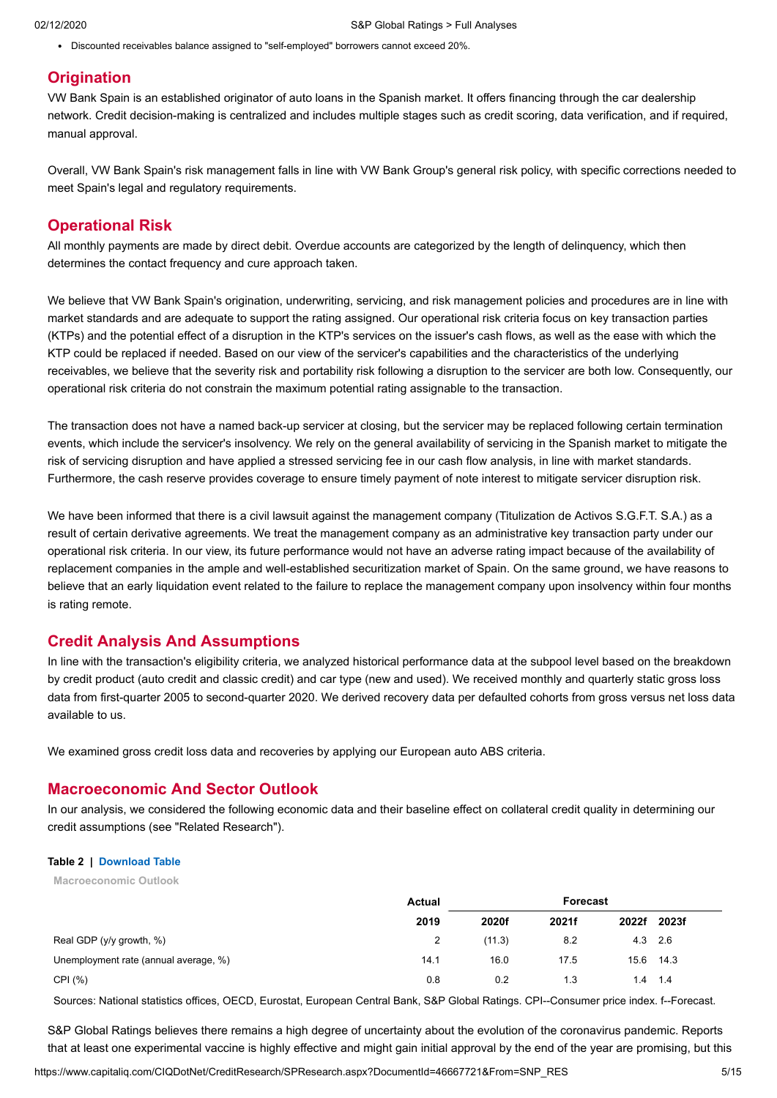Discounted receivables balance assigned to "self-employed" borrowers cannot exceed 20%.

# **Origination**

VW Bank Spain is an established originator of auto loans in the Spanish market. It offers financing through the car dealership network. Credit decision-making is centralized and includes multiple stages such as credit scoring, data verification, and if required, manual approval.

Overall, VW Bank Spain's risk management falls in line with VW Bank Group's general risk policy, with specific corrections needed to meet Spain's legal and regulatory requirements.

# **Operational Risk**

All monthly payments are made by direct debit. Overdue accounts are categorized by the length of delinquency, which then determines the contact frequency and cure approach taken.

We believe that VW Bank Spain's origination, underwriting, servicing, and risk management policies and procedures are in line with market standards and are adequate to support the rating assigned. Our operational risk criteria focus on key transaction parties (KTPs) and the potential effect of a disruption in the KTP's services on the issuer's cash flows, as well as the ease with which the KTP could be replaced if needed. Based on our view of the servicer's capabilities and the characteristics of the underlying receivables, we believe that the severity risk and portability risk following a disruption to the servicer are both low. Consequently, our operational risk criteria do not constrain the maximum potential rating assignable to the transaction.

The transaction does not have a named back-up servicer at closing, but the servicer may be replaced following certain termination events, which include the servicer's insolvency. We rely on the general availability of servicing in the Spanish market to mitigate the risk of servicing disruption and have applied a stressed servicing fee in our cash flow analysis, in line with market standards. Furthermore, the cash reserve provides coverage to ensure timely payment of note interest to mitigate servicer disruption risk.

We have been informed that there is a civil lawsuit against the management company (Titulization de Activos S.G.F.T. S.A.) as a result of certain derivative agreements. We treat the management company as an administrative key transaction party under our operational risk criteria. In our view, its future performance would not have an adverse rating impact because of the availability of replacement companies in the ample and well-established securitization market of Spain. On the same ground, we have reasons to believe that an early liquidation event related to the failure to replace the management company upon insolvency within four months is rating remote.

# **Credit Analysis And Assumptions**

In line with the transaction's eligibility criteria, we analyzed historical performance data at the subpool level based on the breakdown by credit product (auto credit and classic credit) and car type (new and used). We received monthly and quarterly static gross loss data from first-quarter 2005 to second-quarter 2020. We derived recovery data per defaulted cohorts from gross versus net loss data available to us.

We examined gross credit loss data and recoveries by applying our European auto ABS criteria.

# **Macroeconomic And Sector Outlook**

In our analysis, we considered the following economic data and their baseline effect on collateral credit quality in determining our credit assumptions (see "Related Research").

### **Table 2 | [Download Table](https://www.capitaliq.com/CIQDotNet/CreditResearch/ExportContent.aspx?componentId=12121638&language=EN)**

**Macroeconomic Outlook**

|                                       | <b>Actual</b> | Forecast |       |                |           |  |
|---------------------------------------|---------------|----------|-------|----------------|-----------|--|
|                                       | 2019          | 2020f    | 2021f | 2022f          | 2023f     |  |
| Real GDP (y/y growth, %)              | 2             | (11.3)   | 8.2   | $4.3\quad 2.6$ |           |  |
| Unemployment rate (annual average, %) | 14.1          | 16.0     | 17.5  |                | 15.6 14.3 |  |
| CPI (%)                               | 0.8           | 0.2      | 1.3   | 1.4            | 1.4       |  |

Sources: National statistics offices, OECD, Eurostat, European Central Bank, S&P Global Ratings. CPI--Consumer price index. f--Forecast.

S&P Global Ratings believes there remains a high degree of uncertainty about the evolution of the coronavirus pandemic. Reports that at least one experimental vaccine is highly effective and might gain initial approval by the end of the year are promising, but this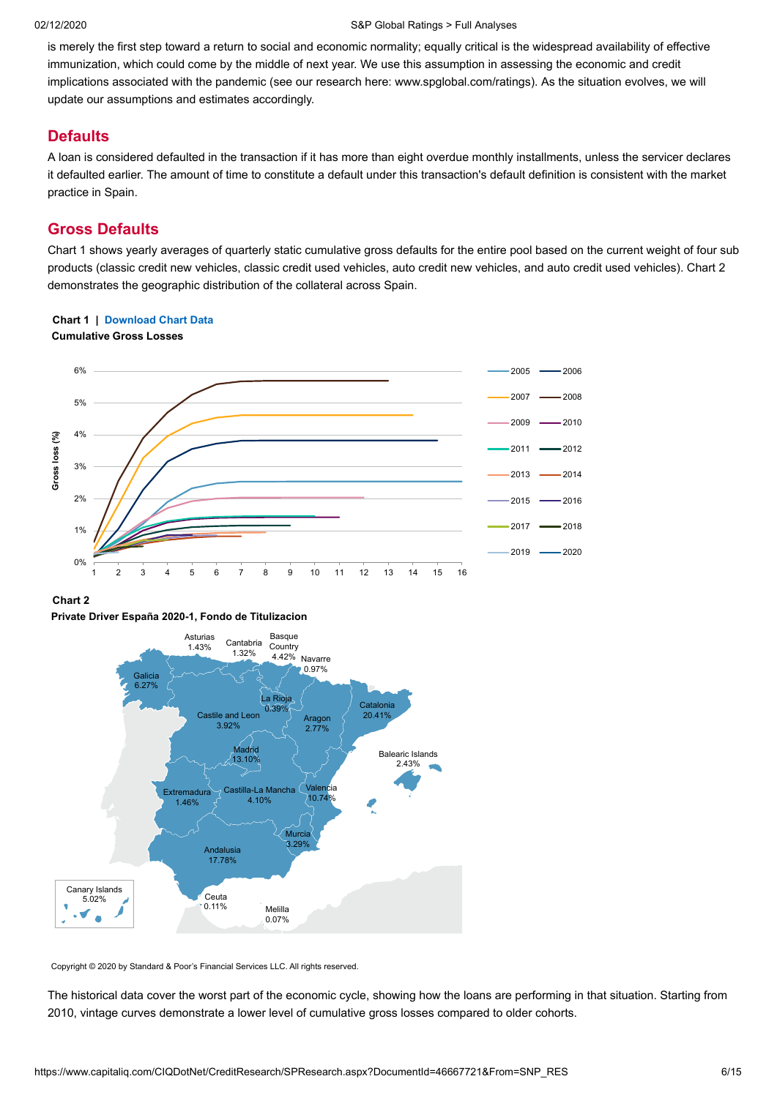is merely the first step toward a return to social and economic normality; equally critical is the widespread availability of effective immunization, which could come by the middle of next year. We use this assumption in assessing the economic and credit implications associated with the pandemic (see our research here: www.spglobal.com/ratings). As the situation evolves, we will update our assumptions and estimates accordingly.

# **Defaults**

A loan is considered defaulted in the transaction if it has more than eight overdue monthly installments, unless the servicer declares it defaulted earlier. The amount of time to constitute a default under this transaction's default definition is consistent with the market practice in Spain.

# **Gross Defaults**

Chart 1 shows yearly averages of quarterly static cumulative gross defaults for the entire pool based on the current weight of four sub products (classic credit new vehicles, classic credit used vehicles, auto credit new vehicles, and auto credit used vehicles). Chart 2 demonstrates the geographic distribution of the collateral across Spain.

## **Chart 1 | [Download Chart Data](https://www.capitaliq.com/CIQDotNet/CreditResearch/ExportContent.aspx?componentId=12121639&language=EN)**

#### **Cumulative Gross Losses**



**Chart 2**





Copyright © 2020 by Standard & Poor's Financial Services LLC. All rights reserved.

The historical data cover the worst part of the economic cycle, showing how the loans are performing in that situation. Starting from 2010, vintage curves demonstrate a lower level of cumulative gross losses compared to older cohorts.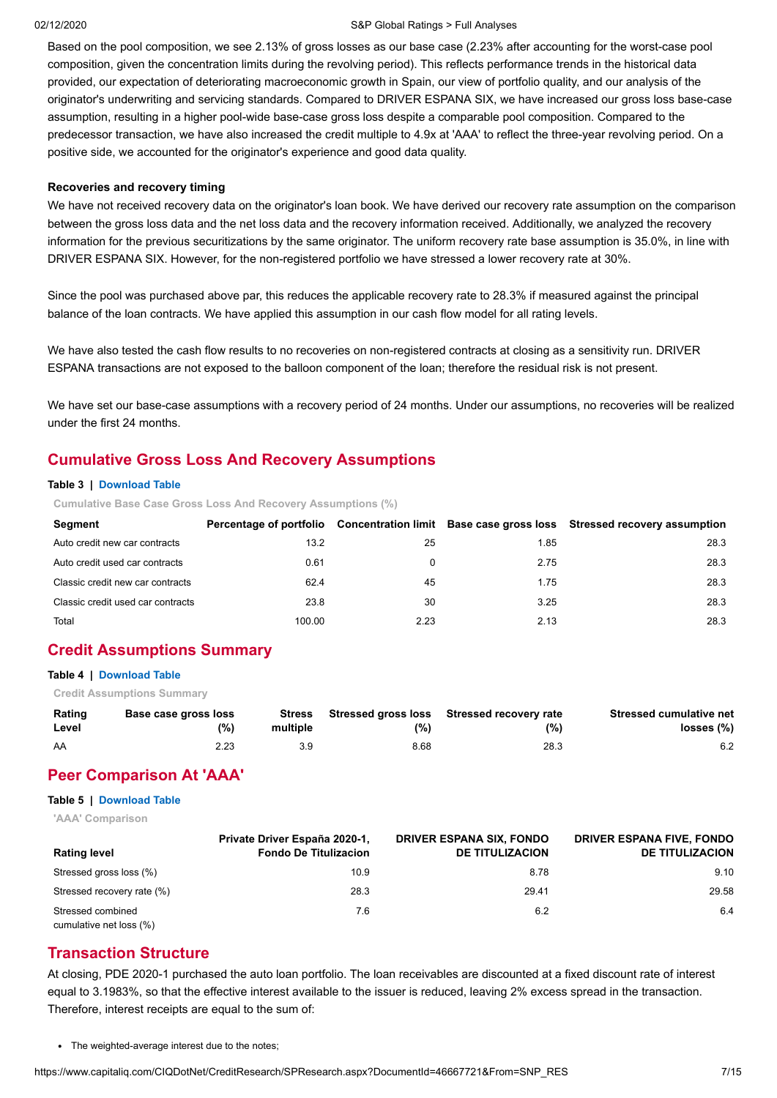Based on the pool composition, we see 2.13% of gross losses as our base case (2.23% after accounting for the worst-case pool composition, given the concentration limits during the revolving period). This reflects performance trends in the historical data provided, our expectation of deteriorating macroeconomic growth in Spain, our view of portfolio quality, and our analysis of the originator's underwriting and servicing standards. Compared to DRIVER ESPANA SIX, we have increased our gross loss base-case assumption, resulting in a higher pool-wide base-case gross loss despite a comparable pool composition. Compared to the predecessor transaction, we have also increased the credit multiple to 4.9x at 'AAA' to reflect the three-year revolving period. On a positive side, we accounted for the originator's experience and good data quality.

#### **Recoveries and recovery timing**

We have not received recovery data on the originator's loan book. We have derived our recovery rate assumption on the comparison between the gross loss data and the net loss data and the recovery information received. Additionally, we analyzed the recovery information for the previous securitizations by the same originator. The uniform recovery rate base assumption is 35.0%, in line with DRIVER ESPANA SIX. However, for the non-registered portfolio we have stressed a lower recovery rate at 30%.

Since the pool was purchased above par, this reduces the applicable recovery rate to 28.3% if measured against the principal balance of the loan contracts. We have applied this assumption in our cash flow model for all rating levels.

We have also tested the cash flow results to no recoveries on non-registered contracts at closing as a sensitivity run. DRIVER ESPANA transactions are not exposed to the balloon component of the loan; therefore the residual risk is not present.

We have set our base-case assumptions with a recovery period of 24 months. Under our assumptions, no recoveries will be realized under the first 24 months.

## **Cumulative Gross Loss And Recovery Assumptions**

#### **Table 3 | [Download Table](https://www.capitaliq.com/CIQDotNet/CreditResearch/ExportContent.aspx?componentId=12121640&language=EN)**

**Cumulative Base Case Gross Loss And Recovery Assumptions (%)**

| Segment                           |        |      |      | Percentage of portfolio Concentration limit Base case gross loss Stressed recovery assumption |
|-----------------------------------|--------|------|------|-----------------------------------------------------------------------------------------------|
| Auto credit new car contracts     | 13.2   | 25   | 1.85 | 28.3                                                                                          |
| Auto credit used car contracts    | 0.61   | 0    | 2.75 | 28.3                                                                                          |
| Classic credit new car contracts  | 62.4   | 45   | 1.75 | 28.3                                                                                          |
| Classic credit used car contracts | 23.8   | 30   | 3.25 | 28.3                                                                                          |
| Total                             | 100.00 | 2.23 | 2.13 | 28.3                                                                                          |

# **Credit Assumptions Summary**

#### **Table 4 | [Download Table](https://www.capitaliq.com/CIQDotNet/CreditResearch/ExportContent.aspx?componentId=12121641&language=EN)**

**Credit Assumptions Summary**

| Rating | Base case gross loss | Stress   | (%)  | Stressed gross loss Stressed recovery rate | <b>Stressed cumulative net</b> |
|--------|----------------------|----------|------|--------------------------------------------|--------------------------------|
| Level  | (%)                  | multiple |      | (%)                                        | losses $(\%)$                  |
| AA     | 2.23                 | 3.9      | 8.68 | 28.3                                       | 6.2                            |

## **Peer Comparison At 'AAA'**

#### **Table 5 | [Download Table](https://www.capitaliq.com/CIQDotNet/CreditResearch/ExportContent.aspx?componentId=12121642&language=EN)**

**'AAA' Comparison**

| <b>Rating level</b>                          | Private Driver España 2020-1,<br><b>Fondo De Titulizacion</b> | DRIVER ESPANA SIX, FONDO<br><b>DE TITULIZACION</b> | DRIVER ESPANA FIVE, FONDO<br><b>DE TITULIZACION</b> |
|----------------------------------------------|---------------------------------------------------------------|----------------------------------------------------|-----------------------------------------------------|
| Stressed gross loss (%)                      | 10.9                                                          | 8.78                                               | 9.10                                                |
| Stressed recovery rate (%)                   | 28.3                                                          | 29.41                                              | 29.58                                               |
| Stressed combined<br>cumulative net loss (%) | 7.6                                                           | 6.2                                                | 6.4                                                 |

## **Transaction Structure**

At closing, PDE 2020-1 purchased the auto loan portfolio. The loan receivables are discounted at a fixed discount rate of interest equal to 3.1983%, so that the effective interest available to the issuer is reduced, leaving 2% excess spread in the transaction. Therefore, interest receipts are equal to the sum of:

The weighted-average interest due to the notes;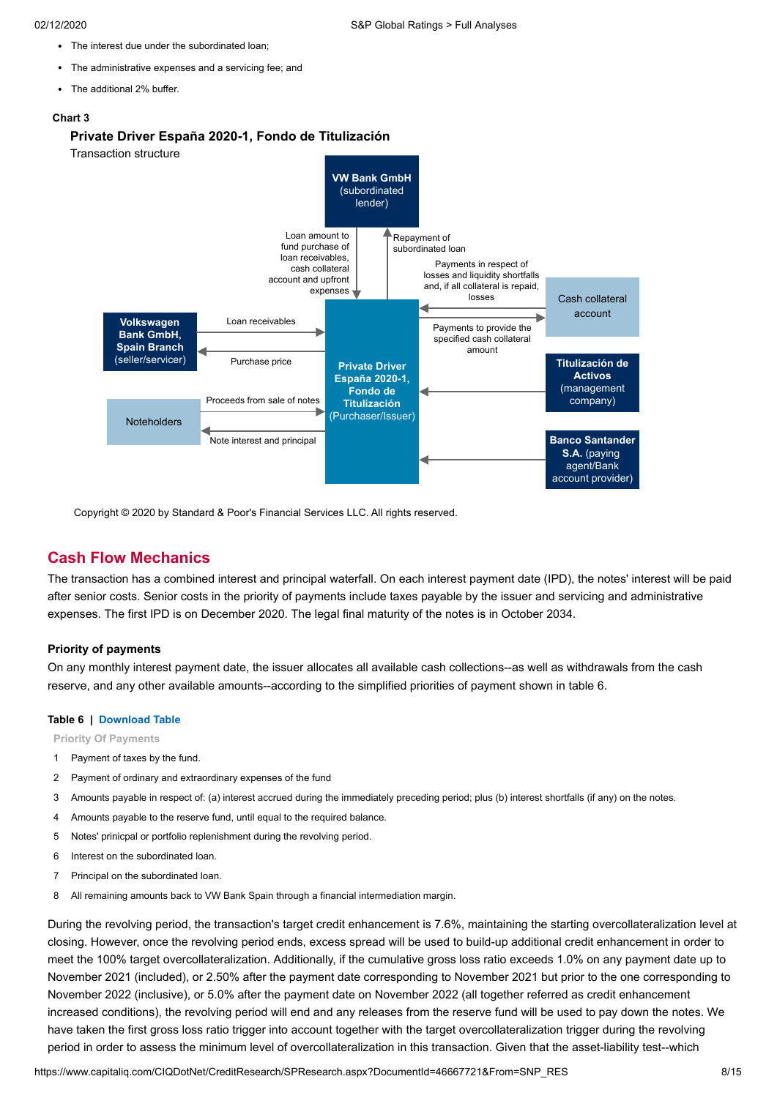- The interest due under the subordinated loan;
- The administrative expenses and a servicing fee; and
- The additional 2% buffer

#### **Chart 3**

### **Private Driver España 2020-1, Fondo de Titulización**



Copyright © 2020 by Standard & Poor's Financial Services LLC. All rights reserved.

## **Cash Flow Mechanics**

The transaction has a combined interest and principal waterfall. On each interest payment date (IPD), the notes' interest will be paid after senior costs. Senior costs in the priority of payments include taxes payable by the issuer and servicing and administrative expenses. The first IPD is on December 2020. The legal final maturity of the notes is in October 2034.

#### **Priority of payments**

On any monthly interest payment date, the issuer allocates all available cash collections--as well as withdrawals from the cash reserve, and any other available amounts--according to the simplified priorities of payment shown in table 6.

#### **Table 6 | [Download Table](https://www.capitaliq.com/CIQDotNet/CreditResearch/ExportContent.aspx?componentId=12121643&language=EN)**

**Priority Of Payments**

- 1 Payment of taxes by the fund.
- 2 Payment of ordinary and extraordinary expenses of the fund
- 3 Amounts payable in respect of: (a) interest accrued during the immediately preceding period; plus (b) interest shortfalls (if any) on the notes.
- 4 Amounts payable to the reserve fund, until equal to the required balance.
- 5 Notes' prinicpal or portfolio replenishment during the revolving period.
- 6 Interest on the subordinated loan.
- 7 Principal on the subordinated loan.
- 8 All remaining amounts back to VW Bank Spain through a financial intermediation margin.

During the revolving period, the transaction's target credit enhancement is 7.6%, maintaining the starting overcollateralization level at closing. However, once the revolving period ends, excess spread will be used to build-up additional credit enhancement in order to meet the 100% target overcollateralization. Additionally, if the cumulative gross loss ratio exceeds 1.0% on any payment date up to November 2021 (included), or 2.50% after the payment date corresponding to November 2021 but prior to the one corresponding to November 2022 (inclusive), or 5.0% after the payment date on November 2022 (all together referred as credit enhancement increased conditions), the revolving period will end and any releases from the reserve fund will be used to pay down the notes. We have taken the first gross loss ratio trigger into account together with the target overcollateralization trigger during the revolving period in order to assess the minimum level of overcollateralization in this transaction. Given that the asset-liability test--which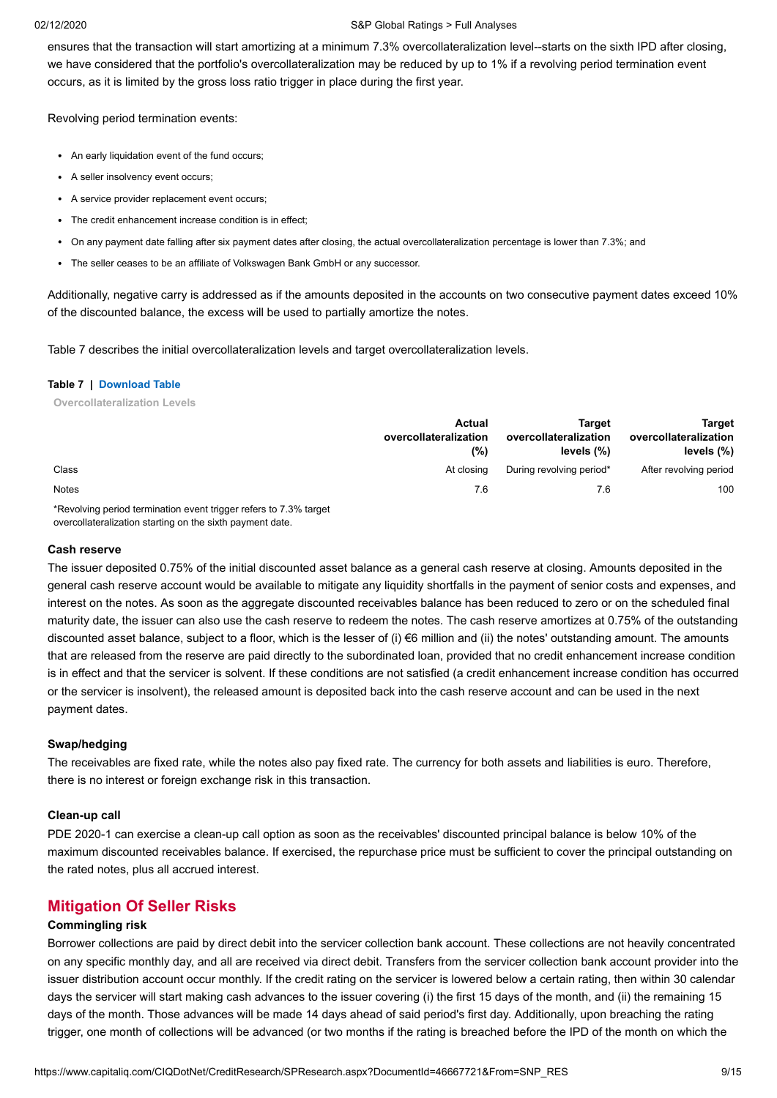ensures that the transaction will start amortizing at a minimum 7.3% overcollateralization level--starts on the sixth IPD after closing, we have considered that the portfolio's overcollateralization may be reduced by up to 1% if a revolving period termination event occurs, as it is limited by the gross loss ratio trigger in place during the first year.

Revolving period termination events:

- An early liquidation event of the fund occurs;
- A seller insolvency event occurs;
- A service provider replacement event occurs;
- The credit enhancement increase condition is in effect;
- On any payment date falling after six payment dates after closing, the actual overcollateralization percentage is lower than 7.3%; and
- The seller ceases to be an affiliate of Volkswagen Bank GmbH or any successor.

Additionally, negative carry is addressed as if the amounts deposited in the accounts on two consecutive payment dates exceed 10% of the discounted balance, the excess will be used to partially amortize the notes.

Table 7 describes the initial overcollateralization levels and target overcollateralization levels.

#### **Table 7 | [Download Table](https://www.capitaliq.com/CIQDotNet/CreditResearch/ExportContent.aspx?componentId=12121644&language=EN)**

**Overcollateralization Levels**

|              | <b>Actual</b><br>overcollateralization<br>(%) | Target<br>overcollateralization<br>levels (%) | Target<br>overcollateralization<br>levels $(\%)$ |
|--------------|-----------------------------------------------|-----------------------------------------------|--------------------------------------------------|
| Class        | At closing                                    | During revolving period*                      | After revolving period                           |
| <b>Notes</b> | 7.6                                           | 7.6                                           | 100                                              |
|              |                                               |                                               |                                                  |

\*Revolving period termination event trigger refers to 7.3% target overcollateralization starting on the sixth payment date.

#### **Cash reserve**

The issuer deposited 0.75% of the initial discounted asset balance as a general cash reserve at closing. Amounts deposited in the general cash reserve account would be available to mitigate any liquidity shortfalls in the payment of senior costs and expenses, and interest on the notes. As soon as the aggregate discounted receivables balance has been reduced to zero or on the scheduled final maturity date, the issuer can also use the cash reserve to redeem the notes. The cash reserve amortizes at 0.75% of the outstanding discounted asset balance, subject to a floor, which is the lesser of (i)  $6$  million and (ii) the notes' outstanding amount. The amounts that are released from the reserve are paid directly to the subordinated loan, provided that no credit enhancement increase condition is in effect and that the servicer is solvent. If these conditions are not satisfied (a credit enhancement increase condition has occurred or the servicer is insolvent), the released amount is deposited back into the cash reserve account and can be used in the next payment dates.

#### **Swap/hedging**

The receivables are fixed rate, while the notes also pay fixed rate. The currency for both assets and liabilities is euro. Therefore, there is no interest or foreign exchange risk in this transaction.

#### **Clean-up call**

PDE 2020-1 can exercise a clean-up call option as soon as the receivables' discounted principal balance is below 10% of the maximum discounted receivables balance. If exercised, the repurchase price must be sufficient to cover the principal outstanding on the rated notes, plus all accrued interest.

# **Mitigation Of Seller Risks**

#### **Commingling risk**

Borrower collections are paid by direct debit into the servicer collection bank account. These collections are not heavily concentrated on any specific monthly day, and all are received via direct debit. Transfers from the servicer collection bank account provider into the issuer distribution account occur monthly. If the credit rating on the servicer is lowered below a certain rating, then within 30 calendar days the servicer will start making cash advances to the issuer covering (i) the first 15 days of the month, and (ii) the remaining 15 days of the month. Those advances will be made 14 days ahead of said period's first day. Additionally, upon breaching the rating trigger, one month of collections will be advanced (or two months if the rating is breached before the IPD of the month on which the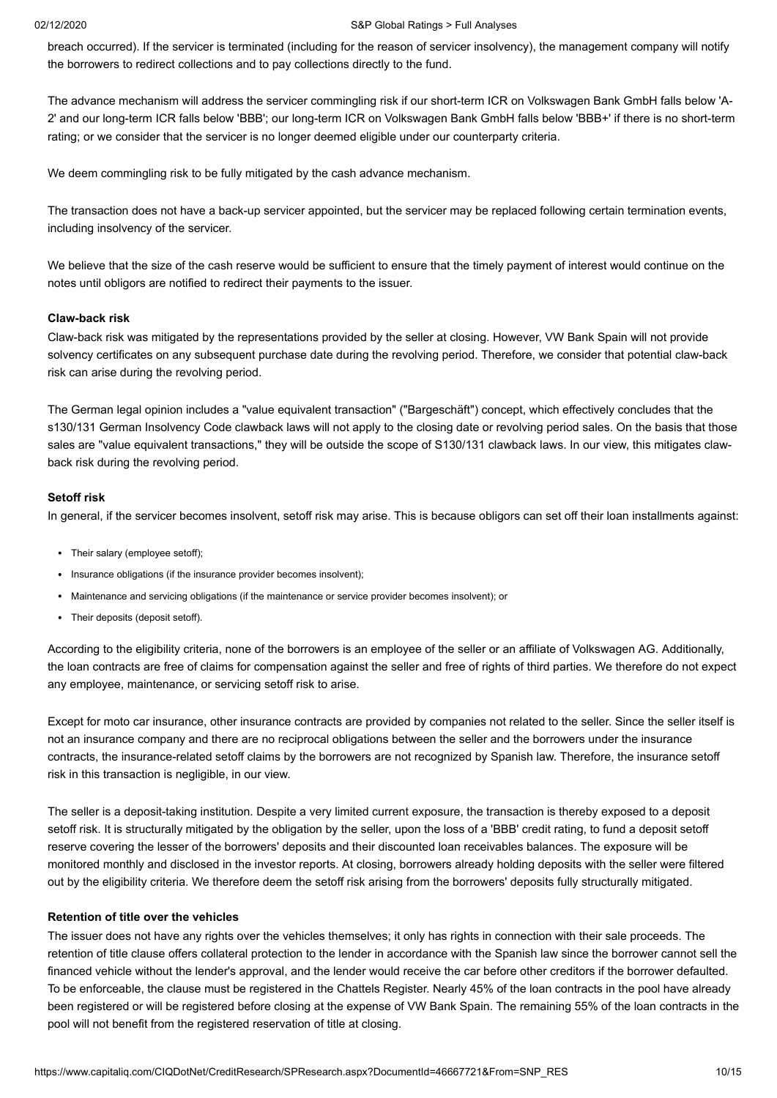breach occurred). If the servicer is terminated (including for the reason of servicer insolvency), the management company will notify the borrowers to redirect collections and to pay collections directly to the fund.

The advance mechanism will address the servicer commingling risk if our short-term ICR on Volkswagen Bank GmbH falls below 'A-2' and our long-term ICR falls below 'BBB'; our long-term ICR on Volkswagen Bank GmbH falls below 'BBB+' if there is no short-term rating; or we consider that the servicer is no longer deemed eligible under our counterparty criteria.

We deem commingling risk to be fully mitigated by the cash advance mechanism.

The transaction does not have a back-up servicer appointed, but the servicer may be replaced following certain termination events, including insolvency of the servicer.

We believe that the size of the cash reserve would be sufficient to ensure that the timely payment of interest would continue on the notes until obligors are notified to redirect their payments to the issuer.

### **Claw-back risk**

Claw-back risk was mitigated by the representations provided by the seller at closing. However, VW Bank Spain will not provide solvency certificates on any subsequent purchase date during the revolving period. Therefore, we consider that potential claw-back risk can arise during the revolving period.

The German legal opinion includes a "value equivalent transaction" ("Bargeschäft") concept, which effectively concludes that the s130/131 German Insolvency Code clawback laws will not apply to the closing date or revolving period sales. On the basis that those sales are "value equivalent transactions," they will be outside the scope of S130/131 clawback laws. In our view, this mitigates clawback risk during the revolving period.

#### **Setoff risk**

In general, if the servicer becomes insolvent, setoff risk may arise. This is because obligors can set off their loan installments against:

- Their salary (employee setoff);
- Insurance obligations (if the insurance provider becomes insolvent);
- $\bullet$ Maintenance and servicing obligations (if the maintenance or service provider becomes insolvent); or
- Their deposits (deposit setoff).

According to the eligibility criteria, none of the borrowers is an employee of the seller or an affiliate of Volkswagen AG. Additionally, the loan contracts are free of claims for compensation against the seller and free of rights of third parties. We therefore do not expect any employee, maintenance, or servicing setoff risk to arise.

Except for moto car insurance, other insurance contracts are provided by companies not related to the seller. Since the seller itself is not an insurance company and there are no reciprocal obligations between the seller and the borrowers under the insurance contracts, the insurance-related setoff claims by the borrowers are not recognized by Spanish law. Therefore, the insurance setoff risk in this transaction is negligible, in our view.

The seller is a deposit-taking institution. Despite a very limited current exposure, the transaction is thereby exposed to a deposit setoff risk. It is structurally mitigated by the obligation by the seller, upon the loss of a 'BBB' credit rating, to fund a deposit setoff reserve covering the lesser of the borrowers' deposits and their discounted loan receivables balances. The exposure will be monitored monthly and disclosed in the investor reports. At closing, borrowers already holding deposits with the seller were filtered out by the eligibility criteria. We therefore deem the setoff risk arising from the borrowers' deposits fully structurally mitigated.

### **Retention of title over the vehicles**

The issuer does not have any rights over the vehicles themselves; it only has rights in connection with their sale proceeds. The retention of title clause offers collateral protection to the lender in accordance with the Spanish law since the borrower cannot sell the financed vehicle without the lender's approval, and the lender would receive the car before other creditors if the borrower defaulted. To be enforceable, the clause must be registered in the Chattels Register. Nearly 45% of the loan contracts in the pool have already been registered or will be registered before closing at the expense of VW Bank Spain. The remaining 55% of the loan contracts in the pool will not benefit from the registered reservation of title at closing.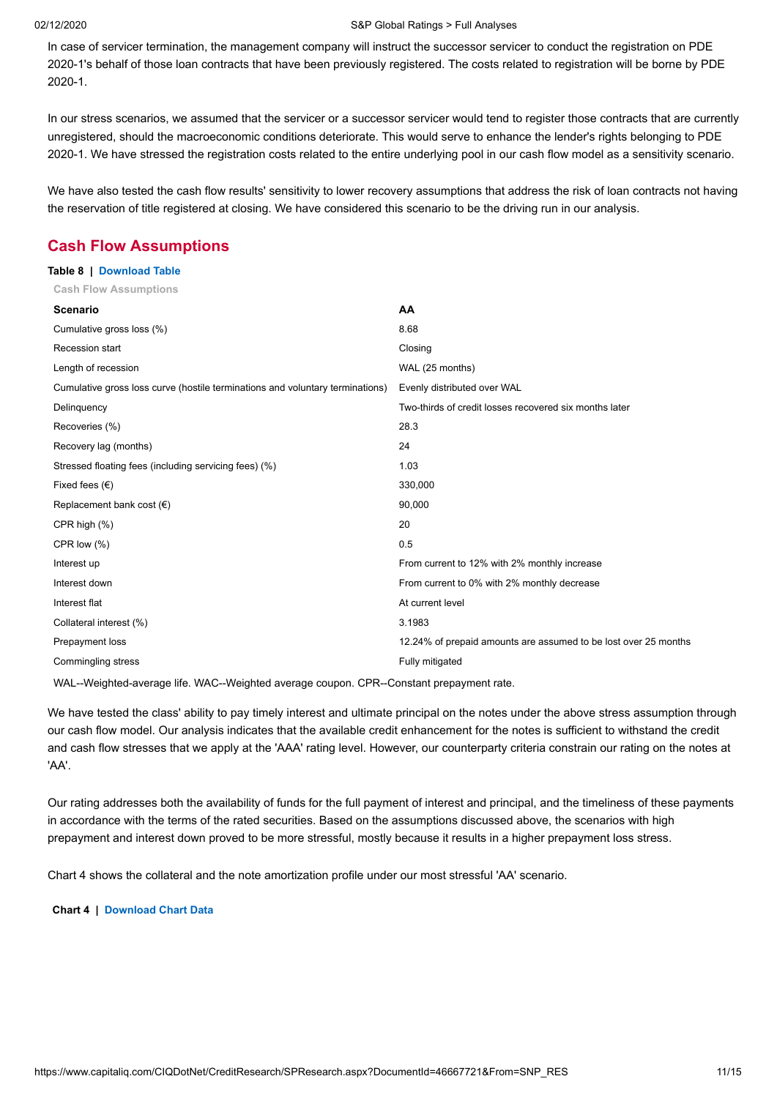In case of servicer termination, the management company will instruct the successor servicer to conduct the registration on PDE 2020-1's behalf of those loan contracts that have been previously registered. The costs related to registration will be borne by PDE 2020-1.

In our stress scenarios, we assumed that the servicer or a successor servicer would tend to register those contracts that are currently unregistered, should the macroeconomic conditions deteriorate. This would serve to enhance the lender's rights belonging to PDE 2020-1. We have stressed the registration costs related to the entire underlying pool in our cash flow model as a sensitivity scenario.

We have also tested the cash flow results' sensitivity to lower recovery assumptions that address the risk of loan contracts not having the reservation of title registered at closing. We have considered this scenario to be the driving run in our analysis.

# **Cash Flow Assumptions**

### **Table 8 | [Download Table](https://www.capitaliq.com/CIQDotNet/CreditResearch/ExportContent.aspx?componentId=12121645&language=EN)**

|  | <b>Cash Flow Assumptions</b> |
|--|------------------------------|
|  |                              |

| AA                                                              |
|-----------------------------------------------------------------|
| 8.68                                                            |
| Closing                                                         |
| WAL (25 months)                                                 |
| Evenly distributed over WAL                                     |
| Two-thirds of credit losses recovered six months later          |
| 28.3                                                            |
| 24                                                              |
| 1.03                                                            |
| 330,000                                                         |
| 90,000                                                          |
| 20                                                              |
| 0.5                                                             |
| From current to 12% with 2% monthly increase                    |
| From current to 0% with 2% monthly decrease                     |
| At current level                                                |
| 3.1983                                                          |
| 12.24% of prepaid amounts are assumed to be lost over 25 months |
| Fully mitigated                                                 |
|                                                                 |

WAL--Weighted-average life. WAC--Weighted average coupon. CPR--Constant prepayment rate.

We have tested the class' ability to pay timely interest and ultimate principal on the notes under the above stress assumption through our cash flow model. Our analysis indicates that the available credit enhancement for the notes is sufficient to withstand the credit and cash flow stresses that we apply at the 'AAA' rating level. However, our counterparty criteria constrain our rating on the notes at 'AA'.

Our rating addresses both the availability of funds for the full payment of interest and principal, and the timeliness of these payments in accordance with the terms of the rated securities. Based on the assumptions discussed above, the scenarios with high prepayment and interest down proved to be more stressful, mostly because it results in a higher prepayment loss stress.

Chart 4 shows the collateral and the note amortization profile under our most stressful 'AA' scenario.

#### **Chart 4 | [Download Chart Data](https://www.capitaliq.com/CIQDotNet/CreditResearch/ExportContent.aspx?componentId=12121646&language=EN)**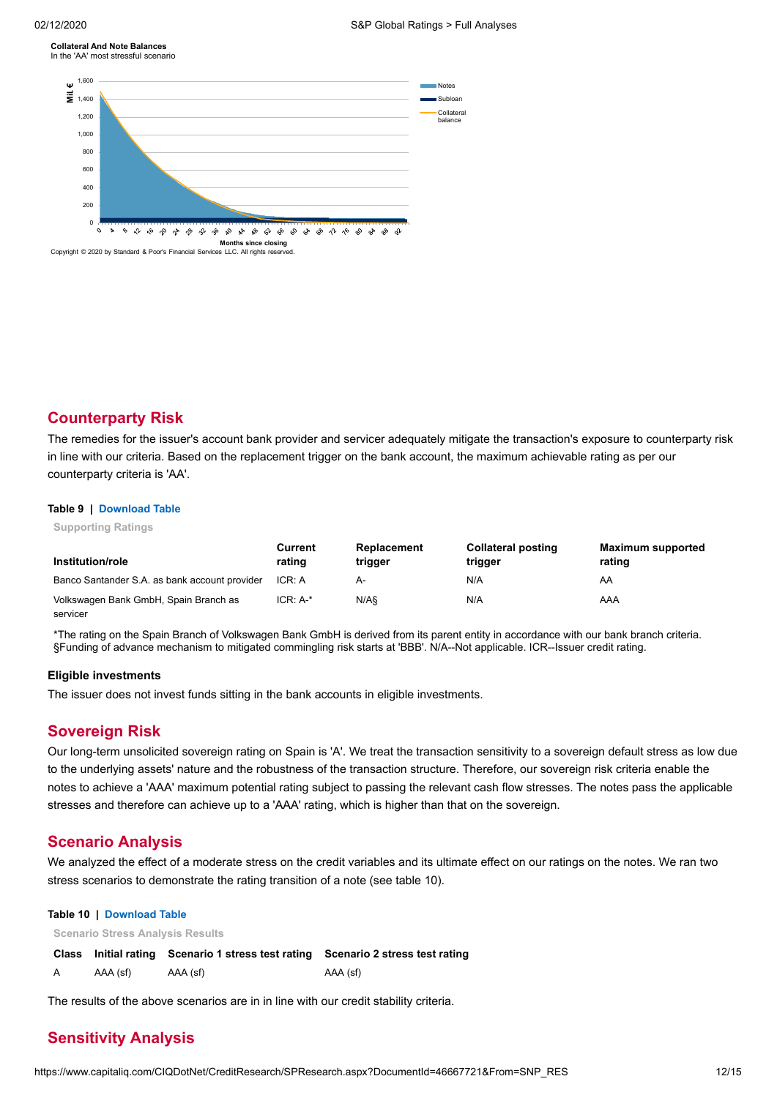**Collateral And Note Balances** In the 'AA' most stressful scenario



Copyright © 2020 by Standard & Poor's Financial Services LLC. All rights reser

## **Counterparty Risk**

The remedies for the issuer's account bank provider and servicer adequately mitigate the transaction's exposure to counterparty risk in line with our criteria. Based on the replacement trigger on the bank account, the maximum achievable rating as per our counterparty criteria is 'AA'.

#### **Table 9 | [Download Table](https://www.capitaliq.com/CIQDotNet/CreditResearch/ExportContent.aspx?componentId=12121647&language=EN)**

**Supporting Ratings**

| Institution/role                              | Current<br>rating | <b>Replacement</b><br>trigger | <b>Collateral posting</b><br>trigger | <b>Maximum supported</b><br>rating |
|-----------------------------------------------|-------------------|-------------------------------|--------------------------------------|------------------------------------|
|                                               |                   |                               |                                      |                                    |
| Banco Santander S.A. as bank account provider | ICR: A            | А-                            | N/A                                  | AA                                 |
| Volkswagen Bank GmbH, Spain Branch as         | $ICR: A^{-*}$     | N/AS                          | N/A                                  | AAA                                |
| servicer                                      |                   |                               |                                      |                                    |

\*The rating on the Spain Branch of Volkswagen Bank GmbH is derived from its parent entity in accordance with our bank branch criteria. §Funding of advance mechanism to mitigated commingling risk starts at 'BBB'. N/A--Not applicable. ICR--Issuer credit rating.

#### **Eligible investments**

The issuer does not invest funds sitting in the bank accounts in eligible investments.

# **Sovereign Risk**

Our long-term unsolicited sovereign rating on Spain is 'A'. We treat the transaction sensitivity to a sovereign default stress as low due to the underlying assets' nature and the robustness of the transaction structure. Therefore, our sovereign risk criteria enable the notes to achieve a 'AAA' maximum potential rating subject to passing the relevant cash flow stresses. The notes pass the applicable stresses and therefore can achieve up to a 'AAA' rating, which is higher than that on the sovereign.

# **Scenario Analysis**

We analyzed the effect of a moderate stress on the credit variables and its ultimate effect on our ratings on the notes. We ran two stress scenarios to demonstrate the rating transition of a note (see table 10).

#### **Table 10 | [Download Table](https://www.capitaliq.com/CIQDotNet/CreditResearch/ExportContent.aspx?componentId=12121648&language=EN)**

**Scenario Stress Analysis Results**

|  |  | Class Initial rating Scenario 1 stress test rating Scenario 2 stress test rating |  |
|--|--|----------------------------------------------------------------------------------|--|
|--|--|----------------------------------------------------------------------------------|--|

A AAA (sf) AAA (sf) AAA (sf)

The results of the above scenarios are in in line with our credit stability criteria.

# **Sensitivity Analysis**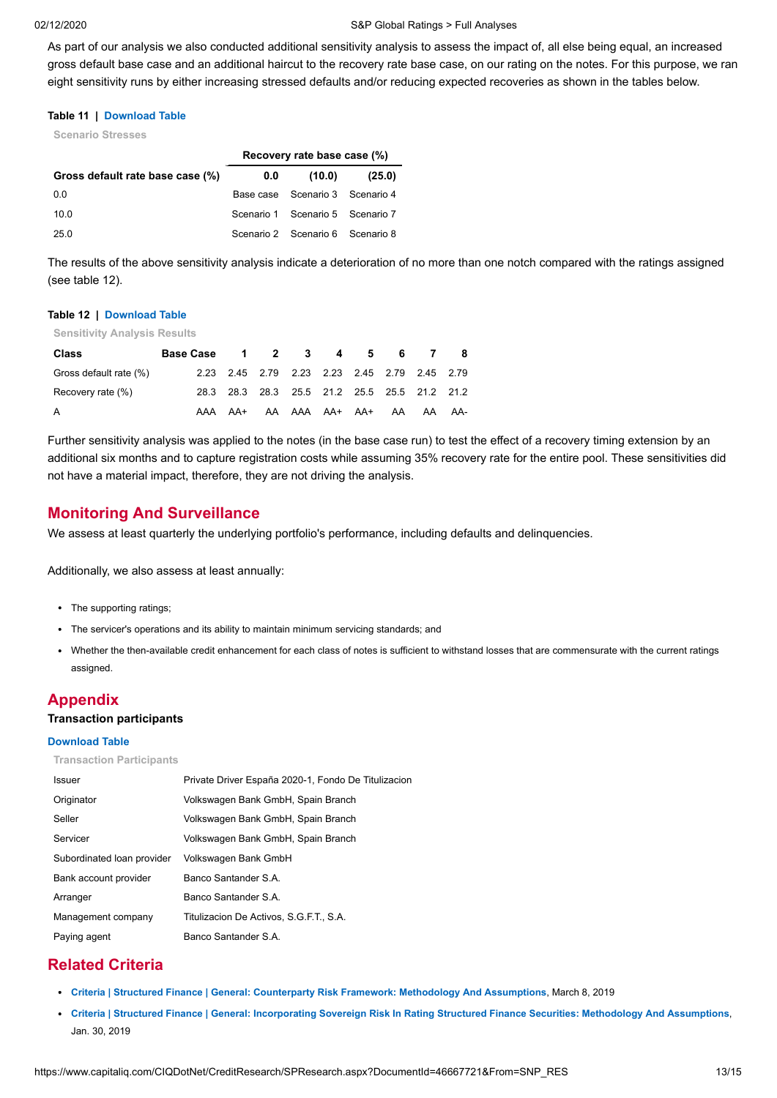As part of our analysis we also conducted additional sensitivity analysis to assess the impact of, all else being equal, an increased gross default base case and an additional haircut to the recovery rate base case, on our rating on the notes. For this purpose, we ran eight sensitivity runs by either increasing stressed defaults and/or reducing expected recoveries as shown in the tables below.

#### **Table 11 | [Download Table](https://www.capitaliq.com/CIQDotNet/CreditResearch/ExportContent.aspx?componentId=12121649&language=EN)**

**Scenario Stresses**

|                                  | Recovery rate base case (%) |                                  |        |  |  |
|----------------------------------|-----------------------------|----------------------------------|--------|--|--|
| Gross default rate base case (%) | 0.0                         | (10.0)                           | (25.0) |  |  |
| 0.0                              |                             | Base case Scenario 3 Scenario 4  |        |  |  |
| 10.0                             |                             | Scenario 1 Scenario 5 Scenario 7 |        |  |  |
| 25.0                             |                             | Scenario 2 Scenario 6 Scenario 8 |        |  |  |

The results of the above sensitivity analysis indicate a deterioration of no more than one notch compared with the ratings assigned (see table 12).

#### **Table 12 | [Download Table](https://www.capitaliq.com/CIQDotNet/CreditResearch/ExportContent.aspx?componentId=12121650&language=EN)**

**Sensitivity Analysis Results**

| <b>Class</b>           | Base Case 1 2 3 4 5 6 7 8 |         |  |  |                                              |  |
|------------------------|---------------------------|---------|--|--|----------------------------------------------|--|
| Gross default rate (%) |                           |         |  |  | 2.23 2.45 2.79 2.23 2.23 2.45 2.79 2.45 2.79 |  |
| Recovery rate (%)      |                           |         |  |  | 28.3 28.3 28.3 25.5 21.2 25.5 25.5 21.2 21.2 |  |
| A                      |                           | AAA AA+ |  |  | AA AAA AA+ AA+ AA AA AA-                     |  |

Further sensitivity analysis was applied to the notes (in the base case run) to test the effect of a recovery timing extension by an additional six months and to capture registration costs while assuming 35% recovery rate for the entire pool. These sensitivities did not have a material impact, therefore, they are not driving the analysis.

## **Monitoring And Surveillance**

We assess at least quarterly the underlying portfolio's performance, including defaults and delinquencies.

Additionally, we also assess at least annually:

- The supporting ratings;
- The servicer's operations and its ability to maintain minimum servicing standards; and
- Whether the then-available credit enhancement for each class of notes is sufficient to withstand losses that are commensurate with the current ratings assigned.

## **Appendix**

### **Transaction participants**

#### **[Download Table](https://www.capitaliq.com/CIQDotNet/CreditResearch/ExportContent.aspx?componentId=12121651&language=EN)**

**Transaction Participants**

| <b>Issuer</b>              | Private Driver España 2020-1, Fondo De Titulizacion |
|----------------------------|-----------------------------------------------------|
| Originator                 | Volkswagen Bank GmbH, Spain Branch                  |
| Seller                     | Volkswagen Bank GmbH, Spain Branch                  |
| Servicer                   | Volkswagen Bank GmbH, Spain Branch                  |
| Subordinated loan provider | Volkswagen Bank GmbH                                |
| Bank account provider      | Banco Santander S.A.                                |
| Arranger                   | Banco Santander S A                                 |
| Management company         | Titulizacion De Activos, S.G.F.T., S.A.             |
| Paying agent               | Banco Santander S.A.                                |

# **Related Criteria**

- **[Criteria | Structured Finance | General: Counterparty Risk Framework: Methodology And Assumptions](https://www.capitaliq.com/CIQDotNet/CreditResearch/SPResearch.aspx?articleId=&ArtObjectId=10861340&ArtRevId=4&sid=&sind=A&)**, March 8, 2019
- **[Criteria | Structured Finance | General: Incorporating Sovereign Risk In Rating Structured Finance Securities: Methodology And Assumptions](https://www.capitaliq.com/CIQDotNet/CreditResearch/SPResearch.aspx?articleId=&ArtObjectId=10836964&ArtRevId=3&sid=&sind=A&)**, Jan. 30, 2019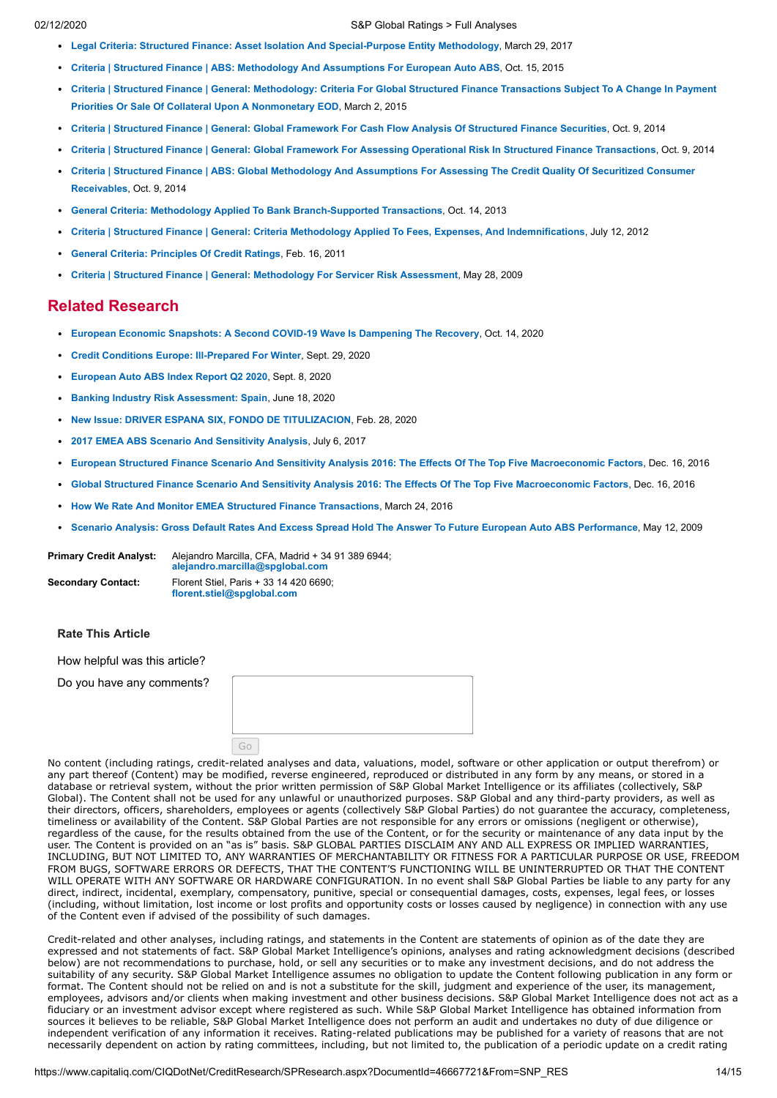- **[Legal Criteria: Structured Finance: Asset Isolation And Special-Purpose Entity Methodology](https://www.capitaliq.com/CIQDotNet/CreditResearch/SPResearch.aspx?articleId=&ArtObjectId=9733017&ArtRevId=3&sid=&sind=A&)**, March 29, 2017
- **[Criteria | Structured Finance | ABS: Methodology And Assumptions For European Auto ABS](https://www.capitaliq.com/CIQDotNet/CreditResearch/SPResearch.aspx?articleId=&ArtObjectId=9285913&ArtRevId=7&sid=&sind=A&)**, Oct. 15, 2015
- **[Criteria | Structured Finance | General: Methodology: Criteria For Global Structured Finance Transactions Subject To A Change In Payment](https://www.capitaliq.com/CIQDotNet/CreditResearch/SPResearch.aspx?articleId=&ArtObjectId=9049216&ArtRevId=6&sid=&sind=A&) Priorities Or Sale Of Collateral Upon A Nonmonetary EOD**, March 2, 2015
- **[Criteria | Structured Finance | General: Global Framework For Cash Flow Analysis Of Structured Finance Securities](https://www.capitaliq.com/CIQDotNet/CreditResearch/SPResearch.aspx?articleId=&ArtObjectId=8759141&ArtRevId=9&sid=&sind=A&)**, Oct. 9, 2014
- **[Criteria | Structured Finance | General: Global Framework For Assessing Operational Risk In Structured Finance Transactions](https://www.capitaliq.com/CIQDotNet/CreditResearch/SPResearch.aspx?articleId=&ArtObjectId=8737366&ArtRevId=10&sid=&sind=A&)**, Oct. 9, 2014
- **[Criteria | Structured Finance | ABS: Global Methodology And Assumptions For Assessing The Credit Quality Of Securitized Consumer](https://www.capitaliq.com/CIQDotNet/CreditResearch/SPResearch.aspx?articleId=&ArtObjectId=8724181&ArtRevId=15&sid=&sind=A&) Receivables**, Oct. 9, 2014
- **[General Criteria: Methodology Applied To Bank Branch-Supported Transactions](https://www.capitaliq.com/CIQDotNet/CreditResearch/SPResearch.aspx?articleId=&ArtObjectId=8130806&ArtRevId=8&sid=&sind=A&)**, Oct. 14, 2013
- **[Criteria | Structured Finance | General: Criteria Methodology Applied To Fees, Expenses, And Indemnifications](https://www.capitaliq.com/CIQDotNet/CreditResearch/SPResearch.aspx?articleId=&ArtObjectId=7430465&ArtRevId=10&sid=&sind=A&)**, July 12, 2012
- **[General Criteria: Principles Of Credit Ratings](https://www.capitaliq.com/CIQDotNet/CreditResearch/SPResearch.aspx?articleId=&ArtObjectId=6485398&ArtRevId=18&sid=&sind=A&)**, Feb. 16, 2011
- **[Criteria | Structured Finance | General: Methodology For Servicer Risk Assessment](https://www.capitaliq.com/CIQDotNet/CreditResearch/SPResearch.aspx?articleId=&ArtObjectId=5428209&ArtRevId=13&sid=&sind=A&)**, May 28, 2009

## **Related Research**

- **[European Economic Snapshots: A Second COVID-19 Wave Is Dampening The Recovery](https://www.capitaliq.com/CIQDotNet/CreditResearch/SPResearch.aspx?articleId=&ArtObjectId=100046778&ArtRevId=1&sid=&sind=A&)**, Oct. 14, 2020
- **[Credit Conditions Europe: Ill-Prepared For Winter](https://www.capitaliq.com/CIQDotNet/CreditResearch/SPResearch.aspx?articleId=&ArtObjectId=11672453&ArtRevId=1&sid=&sind=A&)**, Sept. 29, 2020
- **[European Auto ABS Index Report Q2 2020](https://www.capitaliq.com/CIQDotNet/CreditResearch/SPResearch.aspx?articleId=&ArtObjectId=11617833&ArtRevId=7&sid=&sind=A&)**, Sept. 8, 2020
- **[Banking Industry Risk Assessment: Spain](https://www.capitaliq.com/CIQDotNet/CreditResearch/SPResearch.aspx?articleId=&ArtObjectId=11523497&ArtRevId=2&sid=&sind=A&)**, June 18, 2020
- **[New Issue: DRIVER ESPANA SIX, FONDO DE TITULIZACION](https://www.capitaliq.com/CIQDotNet/CreditResearch/SPResearch.aspx?articleId=&ArtObjectId=11355543&ArtRevId=7&sid=&sind=A&)**, Feb. 28, 2020
- $\bullet$ **[2017 EMEA ABS Scenario And Sensitivity Analysis](https://www.capitaliq.com/CIQDotNet/CreditResearch/SPResearch.aspx?articleId=&ArtObjectId=10155261&ArtRevId=1&sid=&sind=A&)**, July 6, 2017
- **[European Structured Finance Scenario And Sensitivity Analysis 2016: The Effects Of The Top Five Macroeconomic Factors](https://www.capitaliq.com/CIQDotNet/CreditResearch/SPResearch.aspx?articleId=&ArtObjectId=9914948&ArtRevId=1&sid=&sind=A&)**, Dec. 16, 2016  $\bullet$
- **[Global Structured Finance Scenario And Sensitivity Analysis 2016: The Effects Of The Top Five Macroeconomic Factors](https://www.capitaliq.com/CIQDotNet/CreditResearch/SPResearch.aspx?articleId=&ArtObjectId=9913417&ArtRevId=2&sid=&sind=A&)**, Dec. 16, 2016
- **[How We Rate And Monitor EMEA Structured Finance Transactions](https://www.capitaliq.com/CIQDotNet/CreditResearch/SPResearch.aspx?articleId=&ArtObjectId=9530328&ArtRevId=1&sid=&sind=A&)**, March 24, 2016
- **[Scenario Analysis: Gross Default Rates And Excess Spread Hold The Answer To Future European Auto ABS Performance](https://www.capitaliq.com/CIQDotNet/CreditResearch/SPResearch.aspx?articleId=&ArtObjectId=5392986&ArtRevId=1&sid=&sind=A&)**, May 12, 2009

<span id="page-13-0"></span>**Primary Credit Analyst:** Alejandro Marcilla, CFA, Madrid + 34 91 389 6944; **[alejandro.marcilla@spglobal.com](mailto:alejandro.marcilla@spglobal.com) Secondary Contact:** Florent Stiel, Paris + 33 14 420 6690; **[florent.stiel@spglobal.com](mailto:florent.stiel@spglobal.com)**

#### <span id="page-13-1"></span>**Rate This Article**

How helpful was this article?

Do you have any comments?

| Go |  |  |
|----|--|--|

No content (including ratings, credit-related analyses and data, valuations, model, software or other application or output therefrom) or any part thereof (Content) may be modified, reverse engineered, reproduced or distributed in any form by any means, or stored in a database or retrieval system, without the prior written permission of S&P Global Market Intelligence or its affiliates (collectively, S&P Global). The Content shall not be used for any unlawful or unauthorized purposes. S&P Global and any third-party providers, as well as their directors, officers, shareholders, employees or agents (collectively S&P Global Parties) do not guarantee the accuracy, completeness, timeliness or availability of the Content. S&P Global Parties are not responsible for any errors or omissions (negligent or otherwise), regardless of the cause, for the results obtained from the use of the Content, or for the security or maintenance of any data input by the user. The Content is provided on an "as is" basis. S&P GLOBAL PARTIES DISCLAIM ANY AND ALL EXPRESS OR IMPLIED WARRANTIES, INCLUDING, BUT NOT LIMITED TO, ANY WARRANTIES OF MERCHANTABILITY OR FITNESS FOR A PARTICULAR PURPOSE OR USE, FREEDOM FROM BUGS, SOFTWARE ERRORS OR DEFECTS, THAT THE CONTENT'S FUNCTIONING WILL BE UNINTERRUPTED OR THAT THE CONTENT WILL OPERATE WITH ANY SOFTWARE OR HARDWARE CONFIGURATION. In no event shall S&P Global Parties be liable to any party for any direct, indirect, incidental, exemplary, compensatory, punitive, special or consequential damages, costs, expenses, legal fees, or losses (including, without limitation, lost income or lost profits and opportunity costs or losses caused by negligence) in connection with any use of the Content even if advised of the possibility of such damages.

Credit-related and other analyses, including ratings, and statements in the Content are statements of opinion as of the date they are expressed and not statements of fact. S&P Global Market Intelligence's opinions, analyses and rating acknowledgment decisions (described below) are not recommendations to purchase, hold, or sell any securities or to make any investment decisions, and do not address the suitability of any security. S&P Global Market Intelligence assumes no obligation to update the Content following publication in any form or format. The Content should not be relied on and is not a substitute for the skill, judgment and experience of the user, its management, employees, advisors and/or clients when making investment and other business decisions. S&P Global Market Intelligence does not act as a fiduciary or an investment advisor except where registered as such. While S&P Global Market Intelligence has obtained information from sources it believes to be reliable, S&P Global Market Intelligence does not perform an audit and undertakes no duty of due diligence or independent verification of any information it receives. Rating-related publications may be published for a variety of reasons that are not necessarily dependent on action by rating committees, including, but not limited to, the publication of a periodic update on a credit rating